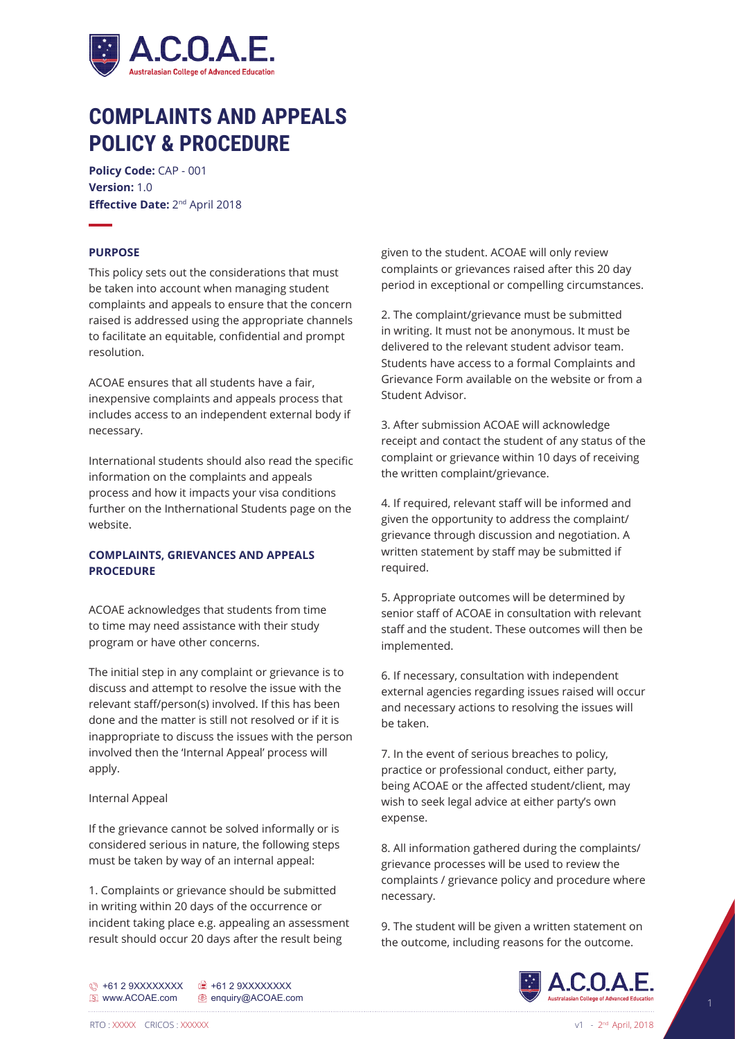

# **COMPLAINTS AND APPEALS POLICY & PROCEDURE**

**Policy Code:** CAP - 001 **Version:** 1.0 **Effective Date:** 2nd April 2018

# **PURPOSE**

This policy sets out the considerations that must be taken into account when managing student complaints and appeals to ensure that the concern raised is addressed using the appropriate channels to facilitate an equitable, confidential and prompt resolution.

ACOAE ensures that all students have a fair, inexpensive complaints and appeals process that includes access to an independent external body if necessary.

International students should also read the specific information on the complaints and appeals process and how it impacts your visa conditions further on the Inthernational Students page on the website.

# **COMPLAINTS, GRIEVANCES AND APPEALS PROCEDURE**

ACOAE acknowledges that students from time to time may need assistance with their study program or have other concerns.

The initial step in any complaint or grievance is to discuss and attempt to resolve the issue with the relevant staff/person(s) involved. If this has been done and the matter is still not resolved or if it is inappropriate to discuss the issues with the person involved then the 'Internal Appeal' process will apply.

#### Internal Appeal

If the grievance cannot be solved informally or is considered serious in nature, the following steps must be taken by way of an internal appeal:

1. Complaints or grievance should be submitted in writing within 20 days of the occurrence or incident taking place e.g. appealing an assessment result should occur 20 days after the result being

given to the student. ACOAE will only review complaints or grievances raised after this 20 day period in exceptional or compelling circumstances.

2. The complaint/grievance must be submitted in writing. It must not be anonymous. It must be delivered to the relevant student advisor team. Students have access to a formal Complaints and Grievance Form available on the website or from a Student Advisor.

3. After submission ACOAE will acknowledge receipt and contact the student of any status of the complaint or grievance within 10 days of receiving the written complaint/grievance.

4. If required, relevant staff will be informed and given the opportunity to address the complaint/ grievance through discussion and negotiation. A written statement by staff may be submitted if required.

5. Appropriate outcomes will be determined by senior staff of ACOAE in consultation with relevant staff and the student. These outcomes will then be implemented.

6. If necessary, consultation with independent external agencies regarding issues raised will occur and necessary actions to resolving the issues will be taken.

7. In the event of serious breaches to policy, practice or professional conduct, either party, being ACOAE or the affected student/client, may wish to seek legal advice at either party's own expense.

8. All information gathered during the complaints/ grievance processes will be used to review the complaints / grievance policy and procedure where necessary.

9. The student will be given a written statement on the outcome, including reasons for the outcome.

+61 2 9XXXXXXXX +61 2 9XXXXXXXX **E** www.ACOAE.com **@** enquiry@ACOAE.com

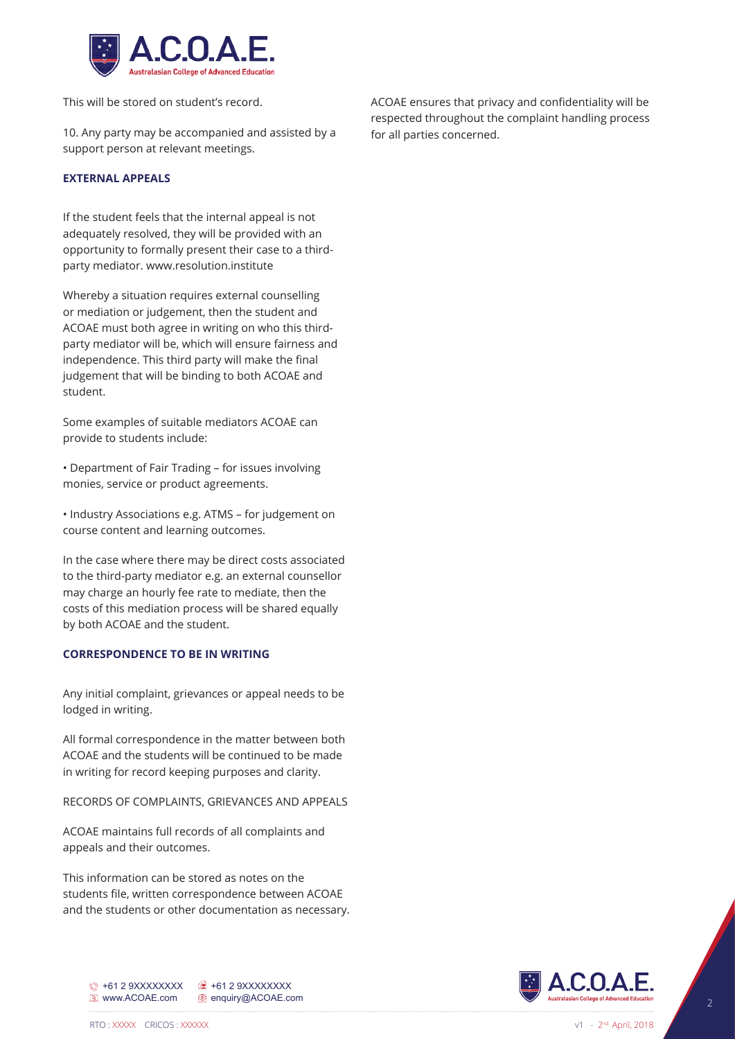

This will be stored on student's record.

10. Any party may be accompanied and assisted by a support person at relevant meetings.

## **EXTERNAL APPEALS**

If the student feels that the internal appeal is not adequately resolved, they will be provided with an opportunity to formally present their case to a thirdparty mediator. www.resolution.institute

Whereby a situation requires external counselling or mediation or judgement, then the student and ACOAE must both agree in writing on who this thirdparty mediator will be, which will ensure fairness and independence. This third party will make the final judgement that will be binding to both ACOAE and student.

Some examples of suitable mediators ACOAE can provide to students include:

• Department of Fair Trading – for issues involving monies, service or product agreements.

• Industry Associations e.g. ATMS – for judgement on course content and learning outcomes.

In the case where there may be direct costs associated to the third-party mediator e.g. an external counsellor may charge an hourly fee rate to mediate, then the costs of this mediation process will be shared equally by both ACOAE and the student.

## **CORRESPONDENCE TO BE IN WRITING**

Any initial complaint, grievances or appeal needs to be lodged in writing.

All formal correspondence in the matter between both ACOAE and the students will be continued to be made in writing for record keeping purposes and clarity.

RECORDS OF COMPLAINTS, GRIEVANCES AND APPEALS

ACOAE maintains full records of all complaints and appeals and their outcomes.

+61 2 9XXXXXXXX +61 2 9XXXXXXXX **E** www.ACOAE.com **e** enquiry@ACOAE.com

This information can be stored as notes on the students file, written correspondence between ACOAE and the students or other documentation as necessary. ACOAE ensures that privacy and confidentiality will be respected throughout the complaint handling process for all parties concerned.

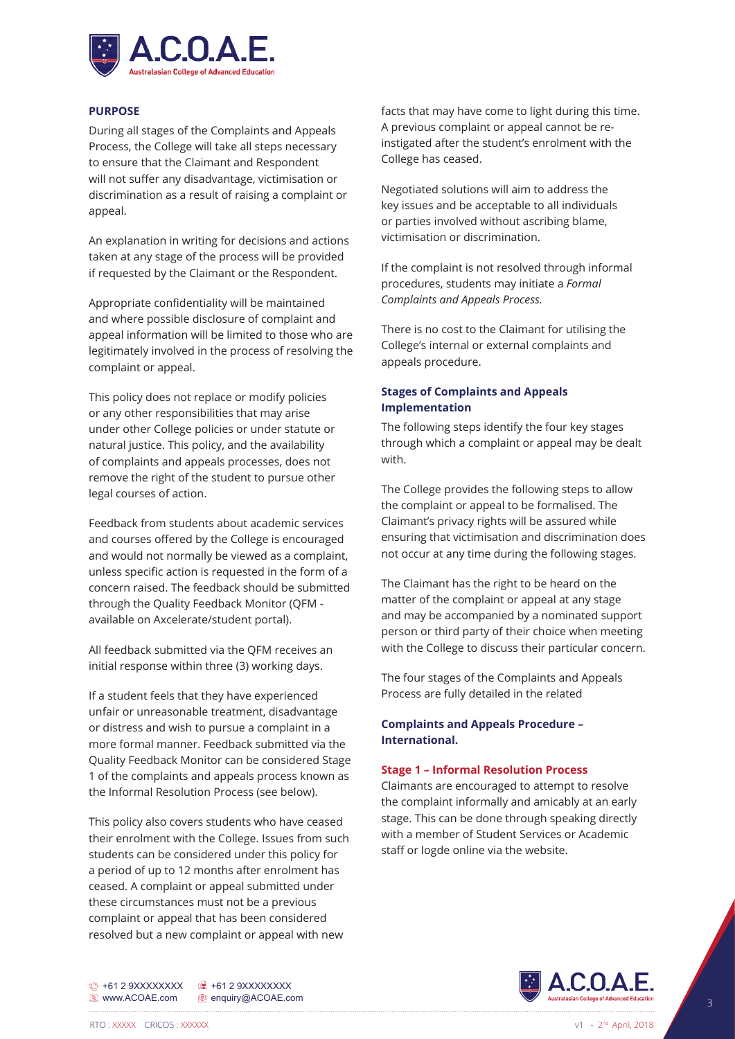

# **PURPOSE**

During all stages of the Complaints and Appeals Process, the College will take all steps necessary to ensure that the Claimant and Respondent will not suffer any disadvantage, victimisation or discrimination as a result of raising a complaint or appeal.

An explanation in writing for decisions and actions taken at any stage of the process will be provided if requested by the Claimant or the Respondent.

Appropriate confidentiality will be maintained and where possible disclosure of complaint and appeal information will be limited to those who are legitimately involved in the process of resolving the complaint or appeal.

This policy does not replace or modify policies or any other responsibilities that may arise under other College policies or under statute or natural justice. This policy, and the availability of complaints and appeals processes, does not remove the right of the student to pursue other legal courses of action.

Feedback from students about academic services and courses offered by the College is encouraged and would not normally be viewed as a complaint, unless specific action is requested in the form of a concern raised. The feedback should be submitted through the Quality Feedback Monitor (QFM available on Axcelerate/student portal).

All feedback submitted via the QFM receives an initial response within three (3) working days.

If a student feels that they have experienced unfair or unreasonable treatment, disadvantage or distress and wish to pursue a complaint in a more formal manner. Feedback submitted via the Quality Feedback Monitor can be considered Stage 1 of the complaints and appeals process known as the Informal Resolution Process (see below).

This policy also covers students who have ceased their enrolment with the College. Issues from such students can be considered under this policy for a period of up to 12 months after enrolment has ceased. A complaint or appeal submitted under these circumstances must not be a previous complaint or appeal that has been considered resolved but a new complaint or appeal with new

facts that may have come to light during this time. A previous complaint or appeal cannot be reinstigated after the student's enrolment with the College has ceased.

Negotiated solutions will aim to address the key issues and be acceptable to all individuals or parties involved without ascribing blame, victimisation or discrimination.

If the complaint is not resolved through informal procedures, students may initiate a *Formal Complaints and Appeals Process.* 

There is no cost to the Claimant for utilising the College's internal or external complaints and appeals procedure.

# **Stages of Complaints and Appeals Implementation**

The following steps identify the four key stages through which a complaint or appeal may be dealt with.

The College provides the following steps to allow the complaint or appeal to be formalised. The Claimant's privacy rights will be assured while ensuring that victimisation and discrimination does not occur at any time during the following stages.

The Claimant has the right to be heard on the matter of the complaint or appeal at any stage and may be accompanied by a nominated support person or third party of their choice when meeting with the College to discuss their particular concern.

The four stages of the Complaints and Appeals Process are fully detailed in the related

# **Complaints and Appeals Procedure – International.**

# **Stage 1 – Informal Resolution Process**

Claimants are encouraged to attempt to resolve the complaint informally and amicably at an early stage. This can be done through speaking directly with a member of Student Services or Academic staff or logde online via the website.



+61 2 9XXXXXXXX +61 2 9XXXXXXXX **E** www.ACOAE.com <sup>@</sup> enquiry@ACOAE.com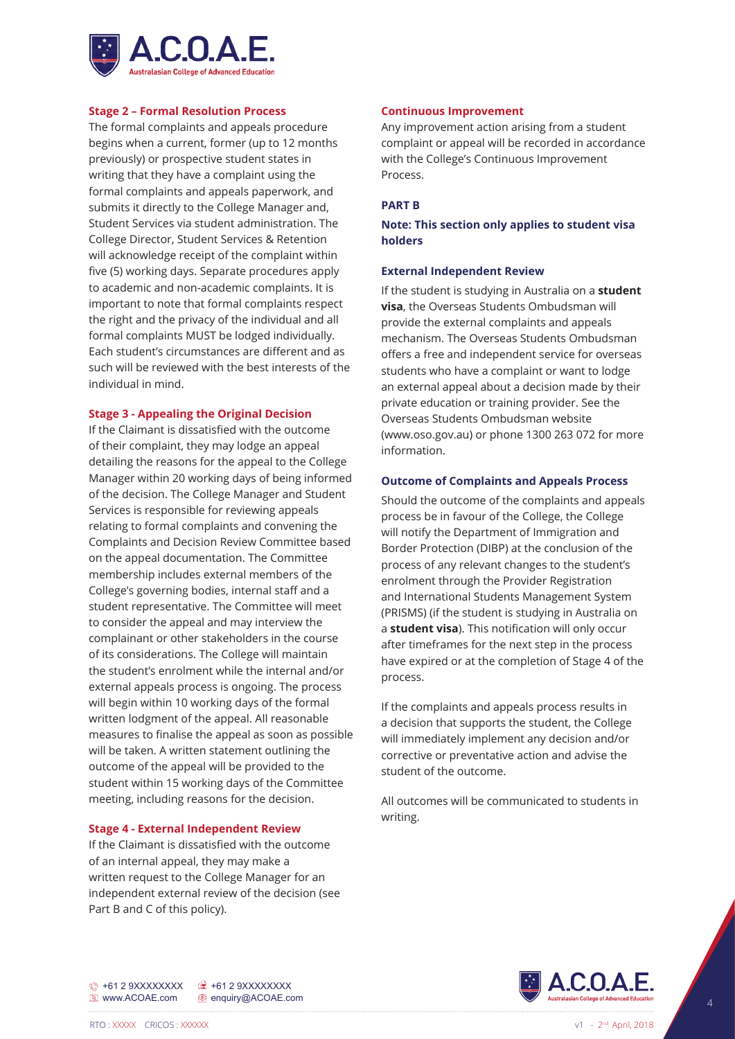

## **Stage 2 – Formal Resolution Process**

The formal complaints and appeals procedure begins when a current, former (up to 12 months previously) or prospective student states in writing that they have a complaint using the formal complaints and appeals paperwork, and submits it directly to the College Manager and, Student Services via student administration. The College Director, Student Services & Retention will acknowledge receipt of the complaint within five (5) working days. Separate procedures apply to academic and non-academic complaints. It is important to note that formal complaints respect the right and the privacy of the individual and all formal complaints MUST be lodged individually. Each student's circumstances are different and as such will be reviewed with the best interests of the individual in mind.

#### **Stage 3 - Appealing the Original Decision**

If the Claimant is dissatisfied with the outcome of their complaint, they may lodge an appeal detailing the reasons for the appeal to the College Manager within 20 working days of being informed of the decision. The College Manager and Student Services is responsible for reviewing appeals relating to formal complaints and convening the Complaints and Decision Review Committee based on the appeal documentation. The Committee membership includes external members of the College's governing bodies, internal staff and a student representative. The Committee will meet to consider the appeal and may interview the complainant or other stakeholders in the course of its considerations. The College will maintain the student's enrolment while the internal and/or external appeals process is ongoing. The process will begin within 10 working days of the formal written lodgment of the appeal. All reasonable measures to finalise the appeal as soon as possible will be taken. A written statement outlining the outcome of the appeal will be provided to the student within 15 working days of the Committee meeting, including reasons for the decision.

#### **Stage 4 - External Independent Review**

If the Claimant is dissatisfied with the outcome of an internal appeal, they may make a written request to the College Manager for an independent external review of the decision (see Part B and C of this policy).

#### **Continuous Improvement**

Any improvement action arising from a student complaint or appeal will be recorded in accordance with the College's Continuous Improvement Process.

#### **PART B**

# **Note: This section only applies to student visa holders**

#### **External Independent Review**

If the student is studying in Australia on a **student visa**, the Overseas Students Ombudsman will provide the external complaints and appeals mechanism. The Overseas Students Ombudsman offers a free and independent service for overseas students who have a complaint or want to lodge an external appeal about a decision made by their private education or training provider. See the Overseas Students Ombudsman website (www.oso.gov.au) or phone 1300 263 072 for more information.

### **Outcome of Complaints and Appeals Process**

Should the outcome of the complaints and appeals process be in favour of the College, the College will notify the Department of Immigration and Border Protection (DIBP) at the conclusion of the process of any relevant changes to the student's enrolment through the Provider Registration and International Students Management System (PRISMS) (if the student is studying in Australia on a **student visa**). This notification will only occur after timeframes for the next step in the process have expired or at the completion of Stage 4 of the process.

If the complaints and appeals process results in a decision that supports the student, the College will immediately implement any decision and/or corrective or preventative action and advise the student of the outcome.

All outcomes will be communicated to students in writing.



+61 2 9XXXXXXXX +61 2 9XXXXXXXX **E** www.ACOAE.com **@** enquiry@ACOAE.com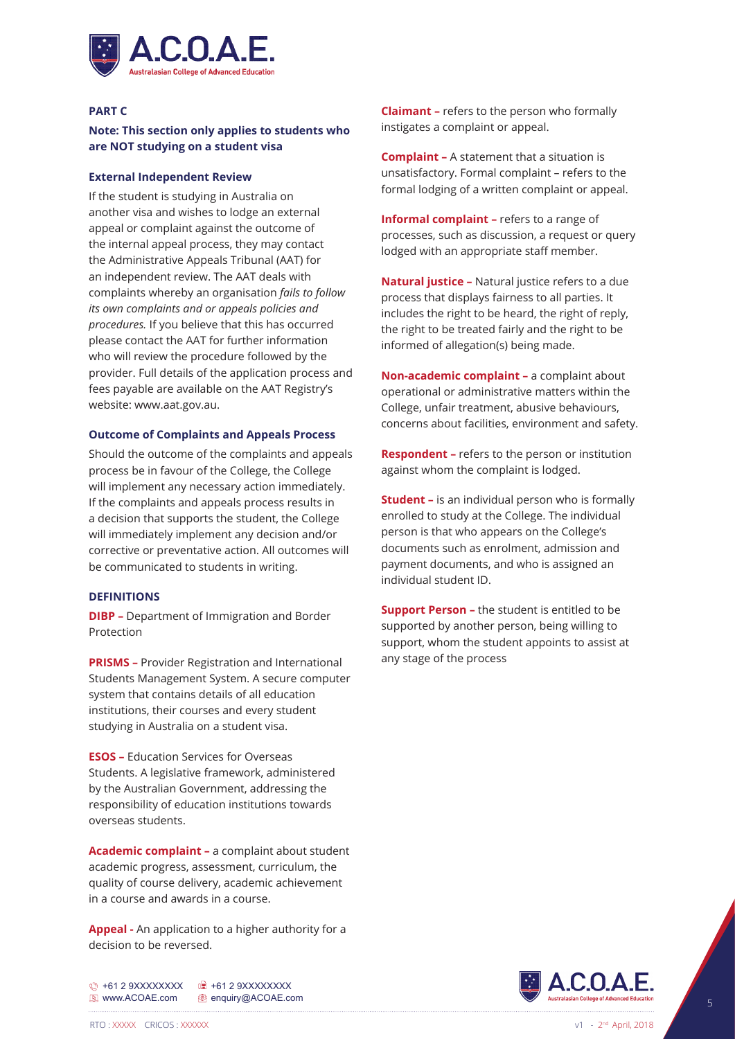

### **PART C**

# **Note: This section only applies to students who are NOT studying on a student visa**

# **External Independent Review**

If the student is studying in Australia on another visa and wishes to lodge an external appeal or complaint against the outcome of the internal appeal process, they may contact the Administrative Appeals Tribunal (AAT) for an independent review. The AAT deals with complaints whereby an organisation *fails to follow its own complaints and or appeals policies and procedures.* If you believe that this has occurred please contact the AAT for further information who will review the procedure followed by the provider. Full details of the application process and fees payable are available on the AAT Registry's website: www.aat.gov.au.

## **Outcome of Complaints and Appeals Process**

Should the outcome of the complaints and appeals process be in favour of the College, the College will implement any necessary action immediately. If the complaints and appeals process results in a decision that supports the student, the College will immediately implement any decision and/or corrective or preventative action. All outcomes will be communicated to students in writing.

# **DEFINITIONS**

**DIBP –** Department of Immigration and Border **Protection** 

**PRISMS –** Provider Registration and International Students Management System. A secure computer system that contains details of all education institutions, their courses and every student studying in Australia on a student visa.

**ESOS –** Education Services for Overseas Students. A legislative framework, administered by the Australian Government, addressing the responsibility of education institutions towards overseas students.

**Academic complaint –** a complaint about student academic progress, assessment, curriculum, the quality of course delivery, academic achievement in a course and awards in a course.

**Appeal -** An application to a higher authority for a decision to be reversed.

+61 2 9XXXXXXXX +61 2 9XXXXXXXX **E** www.ACOAE.com **e** enquiry@ACOAE.com

**Claimant –** refers to the person who formally instigates a complaint or appeal.

**Complaint –** A statement that a situation is unsatisfactory. Formal complaint – refers to the formal lodging of a written complaint or appeal.

**Informal complaint –** refers to a range of processes, such as discussion, a request or query lodged with an appropriate staff member.

**Natural justice –** Natural justice refers to a due process that displays fairness to all parties. It includes the right to be heard, the right of reply, the right to be treated fairly and the right to be informed of allegation(s) being made.

**Non-academic complaint –** a complaint about operational or administrative matters within the College, unfair treatment, abusive behaviours, concerns about facilities, environment and safety.

**Respondent –** refers to the person or institution against whom the complaint is lodged.

**Student –** is an individual person who is formally enrolled to study at the College. The individual person is that who appears on the College's documents such as enrolment, admission and payment documents, and who is assigned an individual student ID.

**Support Person –** the student is entitled to be supported by another person, being willing to support, whom the student appoints to assist at any stage of the process